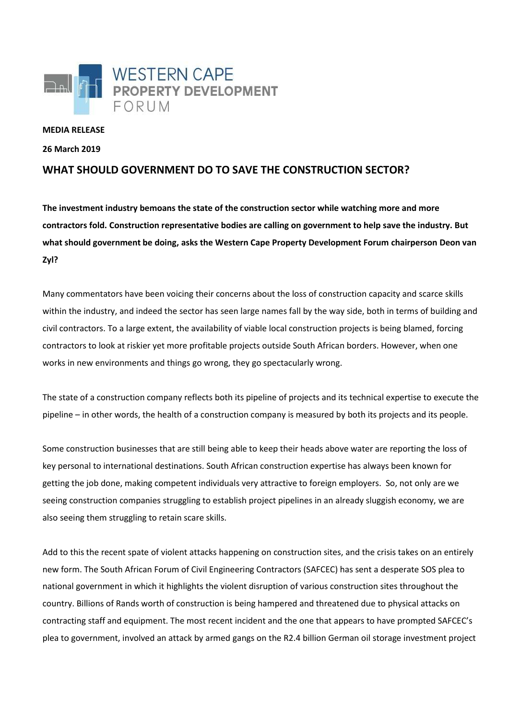

## **MEDIA RELEASE**

**26 March 2019**

## **WHAT SHOULD GOVERNMENT DO TO SAVE THE CONSTRUCTION SECTOR?**

**The investment industry bemoans the state of the construction sector while watching more and more contractors fold. Construction representative bodies are calling on government to help save the industry. But what should government be doing, asks the Western Cape Property Development Forum chairperson Deon van Zyl?**

Many commentators have been voicing their concerns about the loss of construction capacity and scarce skills within the industry, and indeed the sector has seen large names fall by the way side, both in terms of building and civil contractors. To a large extent, the availability of viable local construction projects is being blamed, forcing contractors to look at riskier yet more profitable projects outside South African borders. However, when one works in new environments and things go wrong, they go spectacularly wrong.

The state of a construction company reflects both its pipeline of projects and its technical expertise to execute the pipeline – in other words, the health of a construction company is measured by both its projects and its people.

Some construction businesses that are still being able to keep their heads above water are reporting the loss of key personal to international destinations. South African construction expertise has always been known for getting the job done, making competent individuals very attractive to foreign employers. So, not only are we seeing construction companies struggling to establish project pipelines in an already sluggish economy, we are also seeing them struggling to retain scare skills.

Add to this the recent spate of violent attacks happening on construction sites, and the crisis takes on an entirely new form. The South African Forum of Civil Engineering Contractors (SAFCEC) has sent a desperate SOS plea to national government in which it highlights the violent disruption of various construction sites throughout the country. Billions of Rands worth of construction is being hampered and threatened due to physical attacks on contracting staff and equipment. The most recent incident and the one that appears to have prompted SAFCEC's plea to government, involved an attack by armed gangs on the R2.4 billion German oil storage investment project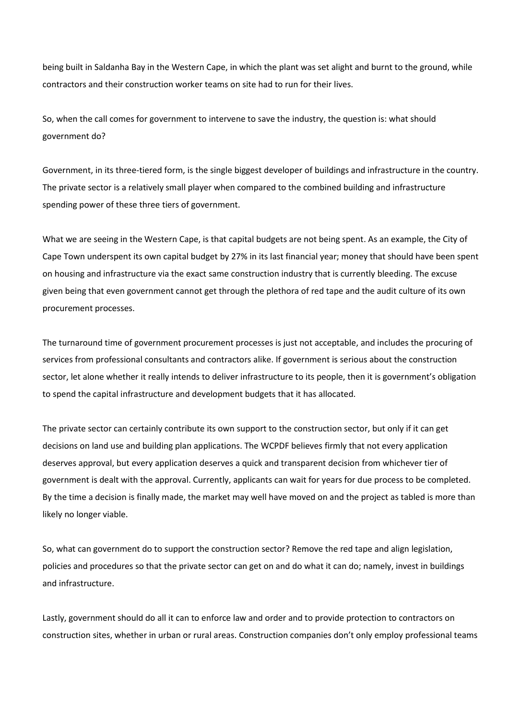being built in Saldanha Bay in the Western Cape, in which the plant was set alight and burnt to the ground, while contractors and their construction worker teams on site had to run for their lives.

So, when the call comes for government to intervene to save the industry, the question is: what should government do?

Government, in its three-tiered form, is the single biggest developer of buildings and infrastructure in the country. The private sector is a relatively small player when compared to the combined building and infrastructure spending power of these three tiers of government.

What we are seeing in the Western Cape, is that capital budgets are not being spent. As an example, the City of Cape Town underspent its own capital budget by 27% in its last financial year; money that should have been spent on housing and infrastructure via the exact same construction industry that is currently bleeding. The excuse given being that even government cannot get through the plethora of red tape and the audit culture of its own procurement processes.

The turnaround time of government procurement processes is just not acceptable, and includes the procuring of services from professional consultants and contractors alike. If government is serious about the construction sector, let alone whether it really intends to deliver infrastructure to its people, then it is government's obligation to spend the capital infrastructure and development budgets that it has allocated.

The private sector can certainly contribute its own support to the construction sector, but only if it can get decisions on land use and building plan applications. The WCPDF believes firmly that not every application deserves approval, but every application deserves a quick and transparent decision from whichever tier of government is dealt with the approval. Currently, applicants can wait for years for due process to be completed. By the time a decision is finally made, the market may well have moved on and the project as tabled is more than likely no longer viable.

So, what can government do to support the construction sector? Remove the red tape and align legislation, policies and procedures so that the private sector can get on and do what it can do; namely, invest in buildings and infrastructure.

Lastly, government should do all it can to enforce law and order and to provide protection to contractors on construction sites, whether in urban or rural areas. Construction companies don't only employ professional teams